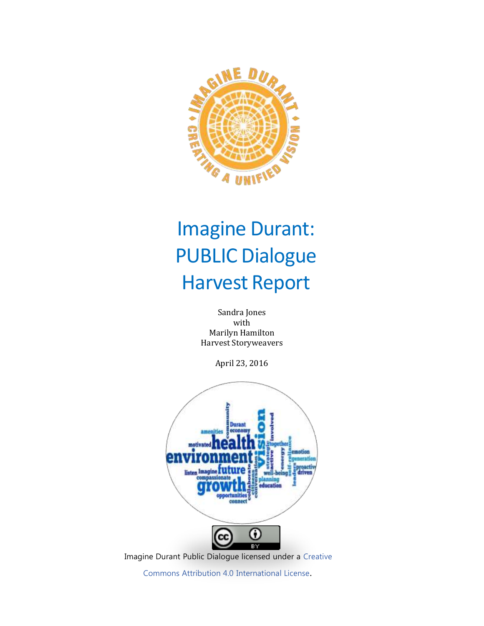

# Imagine Durant: PUBLIC Dialogue Harvest Report

Sandra Jones with Marilyn Hamilton Harvest Storyweavers

April 23, 2016



Imagine Durant Public Dialogue licensed under a [Creative](http://creativecommons.org/licenses/by/4.0/)

Commons Attribution 4.0 [International](http://creativecommons.org/licenses/by/4.0/) License.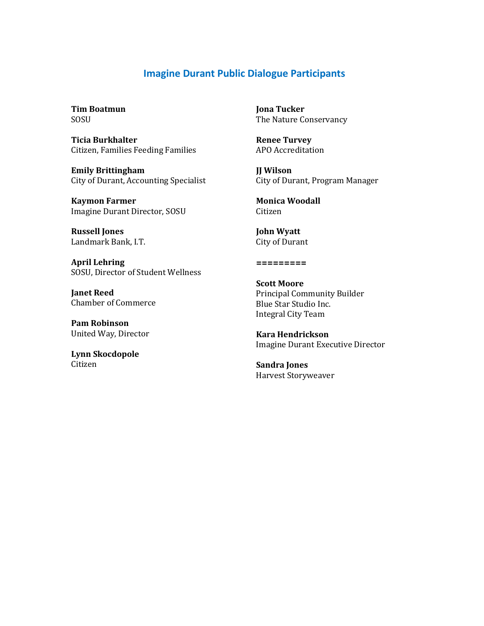#### **Imagine Durant Public Dialogue Participants**

**Tim Boatmun** SOSU

**Ticia Burkhalter** Citizen, Families Feeding Families

**Emily Brittingham** City of Durant, Accounting Specialist

**Kaymon Farmer** Imagine Durant Director, SOSU

**Russell Jones** Landmark Bank, I.T.

**April Lehring** SOSU, Director of Student Wellness

**Janet Reed** Chamber of Commerce

**Pam Robinson** United Way, Director

**Lynn Skocdopole** Citizen

**Jona Tucker** The Nature Conservancy

**Renee Turvey** APO Accreditation

**JJ Wilson** City of Durant, Program Manager

**Monica Woodall** Citizen

**John Wyatt** City of Durant

**=========**

**Scott Moore** Principal Community Builder Blue Star Studio Inc. Integral City Team

**Kara Hendrickson**  Imagine Durant Executive Director

**Sandra Jones** Harvest Storyweaver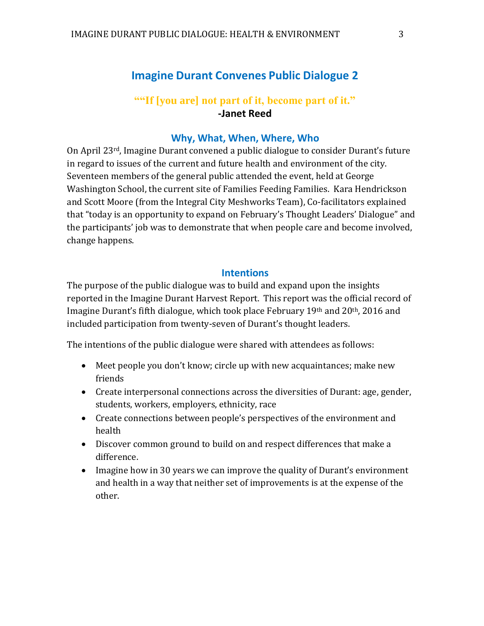# **Imagine Durant Convenes Public Dialogue 2**

## **""If [you are] not part of it, become part of it." -Janet Reed**

#### **Why, What, When, Where, Who**

On April 23rd, Imagine Durant convened a public dialogue to consider Durant's future in regard to issues of the current and future health and environment of the city. Seventeen members of the general public attended the event, held at George Washington School, the current site of Families Feeding Families. Kara Hendrickson and Scott Moore (from the Integral City Meshworks Team), Co-facilitators explained that "today is an opportunity to expand on February's Thought Leaders' Dialogue" and the participants' job was to demonstrate that when people care and become involved, change happens.

#### **Intentions**

The purpose of the public dialogue was to build and expand upon the insights reported in the Imagine Durant Harvest Report. This report was the official record of Imagine Durant's fifth dialogue, which took place February 19th and 20th, 2016 and included participation from twenty-seven of Durant's thought leaders.

The intentions of the public dialogue were shared with attendees as follows:

- Meet people you don't know; circle up with new acquaintances; make new friends
- Create interpersonal connections across the diversities of Durant: age, gender, students, workers, employers, ethnicity, race
- Create connections between people's perspectives of the environment and health
- Discover common ground to build on and respect differences that make a difference.
- Imagine how in 30 years we can improve the quality of Durant's environment and health in a way that neither set of improvements is at the expense of the other.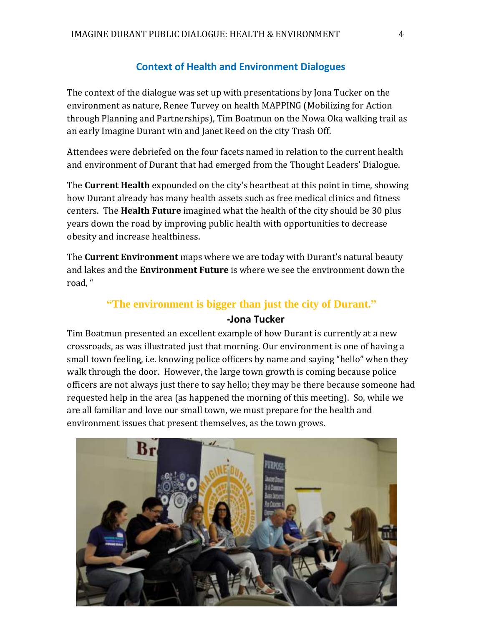#### **Context of Health and Environment Dialogues**

The context of the dialogue was set up with presentations by Jona Tucker on the environment as nature, Renee Turvey on health MAPPING (Mobilizing for Action through Planning and Partnerships), Tim Boatmun on the Nowa Oka walking trail as an early Imagine Durant win and Janet Reed on the city Trash Off.

Attendees were debriefed on the four facets named in relation to the current health and environment of Durant that had emerged from the Thought Leaders' Dialogue.

The **Current Health** expounded on the city's heartbeat at this point in time, showing how Durant already has many health assets such as free medical clinics and fitness centers. The **Health Future** imagined what the health of the city should be 30 plus years down the road by improving public health with opportunities to decrease obesity and increase healthiness.

The **Current Environment** maps where we are today with Durant's natural beauty and lakes and the **Environment Future** is where we see the environment down the road, "

#### **"The environment is bigger than just the city of Durant."**

#### **-Jona Tucker**

Tim Boatmun presented an excellent example of how Durant is currently at a new crossroads, as was illustrated just that morning. Our environment is one of having a small town feeling, i.e. knowing police officers by name and saying "hello" when they walk through the door. However, the large town growth is coming because police officers are not always just there to say hello; they may be there because someone had requested help in the area (as happened the morning of this meeting). So, while we are all familiar and love our small town, we must prepare for the health and environment issues that present themselves, as the town grows.

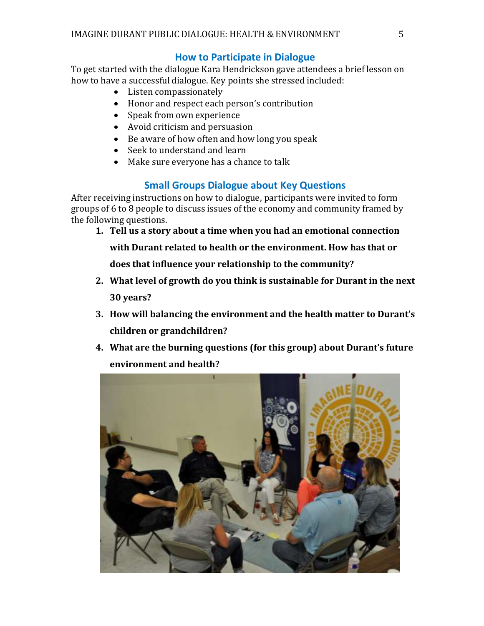#### **How to Participate in Dialogue**

To get started with the dialogue Kara Hendrickson gave attendees a brief lesson on how to have a successful dialogue. Key points she stressed included:

- Listen compassionately
- Honor and respect each person's contribution
- Speak from own experience
- Avoid criticism and persuasion
- Be aware of how often and how long you speak
- Seek to understand and learn
- Make sure everyone has a chance to talk

# **Small Groups Dialogue about Key Questions**

After receiving instructions on how to dialogue, participants were invited to form groups of 6 to 8 people to discuss issues of the economy and community framed by the following questions.

**1. Tell us a story about a time when you had an emotional connection** 

**with Durant related to health or the environment. How has that or** 

**does that influence your relationship to the community?**

- **2. What level of growth do you think is sustainable for Durant in the next 30 years?**
- **3. How will balancing the environment and the health matter to Durant's children or grandchildren?**
- **4. What are the burning questions (for this group) about Durant's future environment and health?**

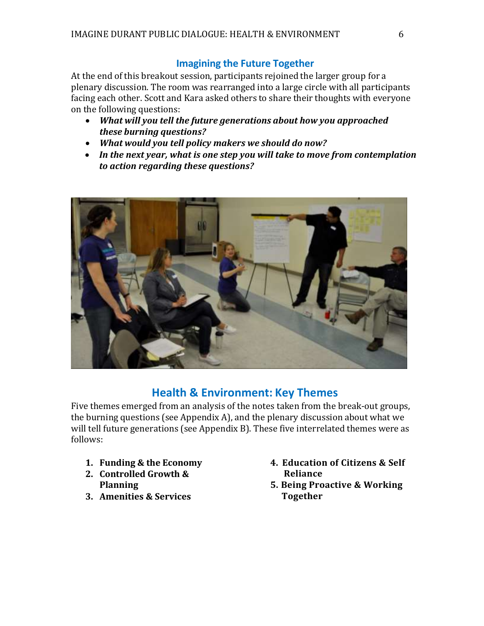#### **Imagining the Future Together**

At the end of this breakout session, participants rejoined the larger group for a plenary discussion. The room was rearranged into a large circle with all participants facing each other. Scott and Kara asked others to share their thoughts with everyone on the following questions:

- *What will you tell the future generations about how you approached these burning questions?*
- *What would you tell policy makers we should do now?*
- *In the next year, what is one step you will take to move from contemplation to action regarding these questions?*



# **Health & Environment: Key Themes**

Five themes emerged from an analysis of the notes taken from the break-out groups, the burning questions (see Appendix A), and the plenary discussion about what we will tell future generations (see Appendix B). These five interrelated themes were as follows:

- **1. Funding & the Economy**
- **2. Controlled Growth & Planning**
- **3. Amenities & Services**
- **4. Education of Citizens & Self Reliance**
- **5. Being Proactive & Working Together**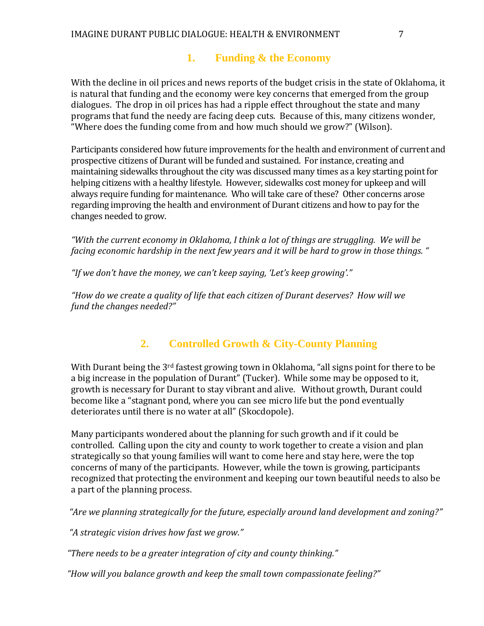# **1. Funding & the Economy**

With the decline in oil prices and news reports of the budget crisis in the state of Oklahoma, it is natural that funding and the economy were key concerns that emerged from the group dialogues. The drop in oil prices has had a ripple effect throughout the state and many programs that fund the needy are facing deep cuts. Because of this, many citizens wonder, "Where does the funding come from and how much should we grow?" (Wilson).

Participants considered how future improvements for the health and environment of current and prospective citizens of Durant will be funded and sustained. For instance, creating and maintaining sidewalks throughout the city was discussed many times as a key starting point for helping citizens with a healthy lifestyle. However, sidewalks cost money for upkeep and will always require funding for maintenance. Who will take care of these? Other concerns arose regarding improving the health and environment of Durant citizens and how to pay for the changes needed to grow.

*"With the current economy in Oklahoma, I think a lot of things are struggling. We will be facing economic hardship in the next few years and it will be hard to grow in those things. "*

*"If we don't have the money, we can't keep saying, 'Let's keep growing'."* 

 *"How do we create a quality of life that each citizen of Durant deserves? How will we fund the changes needed?"*

# **2. Controlled Growth & City-County Planning**

With Durant being the 3<sup>rd</sup> fastest growing town in Oklahoma, "all signs point for there to be a big increase in the population of Durant" (Tucker). While some may be opposed to it, growth is necessary for Durant to stay vibrant and alive. Without growth, Durant could become like a "stagnant pond, where you can see micro life but the pond eventually deteriorates until there is no water at all" (Skocdopole).

Many participants wondered about the planning for such growth and if it could be controlled. Calling upon the city and county to work together to create a vision and plan strategically so that young families will want to come here and stay here, were the top concerns of many of the participants. However, while the town is growing, participants recognized that protecting the environment and keeping our town beautiful needs to also be a part of the planning process.

*"Are we planning strategically for the future, especially around land development and zoning?"*

*"A strategic vision drives how fast we grow."*

*"There needs to be a greater integration of city and county thinking."*

*"How will you balance growth and keep the small town compassionate feeling?"*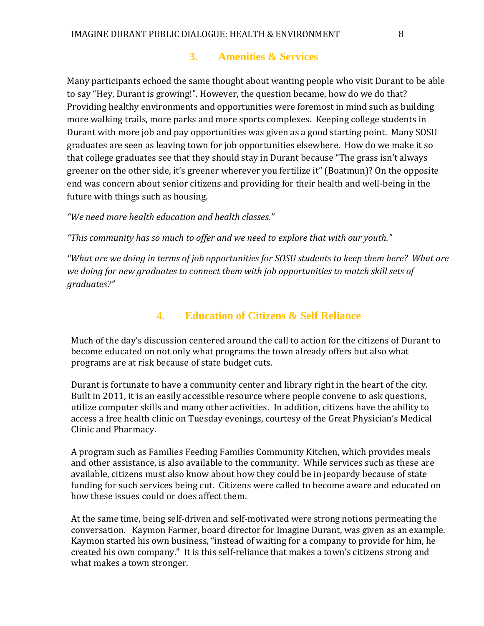#### **3. Amenities & Services**

Many participants echoed the same thought about wanting people who visit Durant to be able to say "Hey, Durant is growing!". However, the question became, how do we do that? Providing healthy environments and opportunities were foremost in mind such as building more walking trails, more parks and more sports complexes. Keeping college students in Durant with more job and pay opportunities was given as a good starting point. Many SOSU graduates are seen as leaving town for job opportunities elsewhere. How do we make it so that college graduates see that they should stay in Durant because "The grass isn't always greener on the other side, it's greener wherever you fertilize it" (Boatmun)? On the opposite end was concern about senior citizens and providing for their health and well-being in the future with things such as housing.

*"We need more health education and health classes."* 

*"This community has so much to offer and we need to explore that with our youth."*

*"What are we doing in terms of job opportunities for SOSU students to keep them here? What are we doing for new graduates to connect them with job opportunities to match skill sets of graduates?"*

## **4. Education of Citizens & Self Reliance**

Much of the day's discussion centered around the call to action for the citizens of Durant to become educated on not only what programs the town already offers but also what programs are at risk because of state budget cuts.

Durant is fortunate to have a community center and library right in the heart of the city. Built in 2011, it is an easily accessible resource where people convene to ask questions, utilize computer skills and many other activities. In addition, citizens have the ability to access a free health clinic on Tuesday evenings, courtesy of the Great Physician's Medical Clinic and Pharmacy.

A program such as Families Feeding Families Community Kitchen, which provides meals and other assistance, is also available to the community. While services such as these are available, citizens must also know about how they could be in jeopardy because of state funding for such services being cut. Citizens were called to become aware and educated on how these issues could or does affect them.

At the same time, being self-driven and self-motivated were strong notions permeating the conversation. Kaymon Farmer, board director for Imagine Durant, was given as an example. Kaymon started his own business, "instead of waiting for a company to provide for him, he created his own company." It is this self-reliance that makes a town's citizens strong and what makes a town stronger.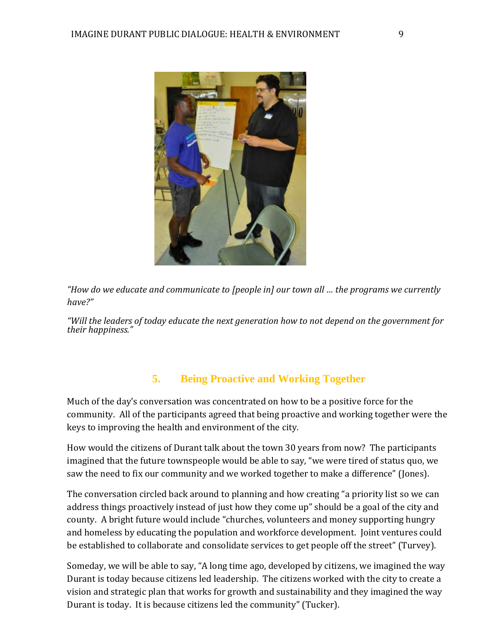

*"How do we educate and communicate to [people in] our town all … the programs we currently have?"*

*"Will the leaders of today educate the next generation how to not depend on the government for their happiness."*

# **5. Being Proactive and Working Together**

Much of the day's conversation was concentrated on how to be a positive force for the community. All of the participants agreed that being proactive and working together were the keys to improving the health and environment of the city.

How would the citizens of Durant talk about the town 30 years from now? The participants imagined that the future townspeople would be able to say, "we were tired of status quo, we saw the need to fix our community and we worked together to make a difference" (Jones).

The conversation circled back around to planning and how creating "a priority list so we can address things proactively instead of just how they come up" should be a goal of the city and county. A bright future would include "churches, volunteers and money supporting hungry and homeless by educating the population and workforce development. Joint ventures could be established to collaborate and consolidate services to get people off the street" (Turvey).

Someday, we will be able to say, "A long time ago, developed by citizens, we imagined the way Durant is today because citizens led leadership. The citizens worked with the city to create a vision and strategic plan that works for growth and sustainability and they imagined the way Durant is today. It is because citizens led the community" (Tucker).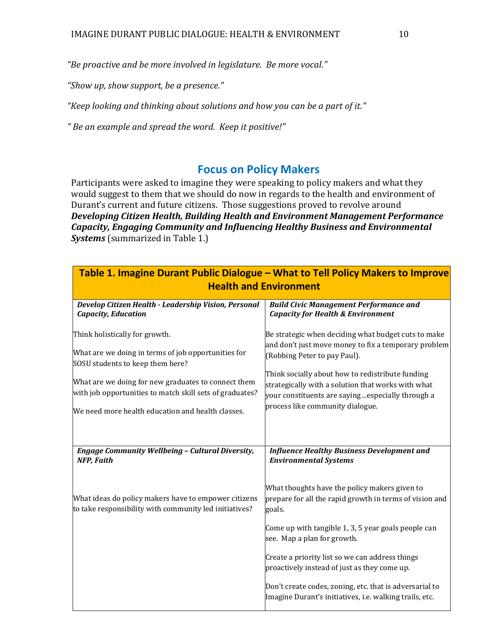*"Be proactive and be more involved in legislature. Be more vocal."*

*"Show up, show support, be a presence."*

*"Keep looking and thinking about solutions and how you can be a part of it."*

*" Be an example and spread the word. Keep it positive!"*

# **Focus on Policy Makers**

Participants were asked to imagine they were speaking to policy makers and what they would suggest to them that we should do now in regards to the health and environment of Durant's current and future citizens. Those suggestions proved to revolve around *Developing Citizen Health, Building Health and Environment Management Performance Capacity, Engaging Community and Influencing Healthy Business and Environmental Systems* (summarized in Table 1.)

| Table 1. Imagine Durant Public Dialogue - What to Tell Policy Makers to Improve<br><b>Health and Environment</b>                                                                                                                                                                                  |                                                                                                                                                                                                                                                                                                                                               |  |
|---------------------------------------------------------------------------------------------------------------------------------------------------------------------------------------------------------------------------------------------------------------------------------------------------|-----------------------------------------------------------------------------------------------------------------------------------------------------------------------------------------------------------------------------------------------------------------------------------------------------------------------------------------------|--|
| Develop Citizen Health - Leadership Vision, Personal<br><b>Capacity, Education</b>                                                                                                                                                                                                                | <b>Build Civic Management Performance and</b><br><b>Capacity for Health &amp; Environment</b>                                                                                                                                                                                                                                                 |  |
| Think holistically for growth.<br>What are we doing in terms of job opportunities for<br>SOSU students to keep them here?<br>What are we doing for new graduates to connect them<br>with job opportunities to match skill sets of graduates?<br>We need more health education and health classes. | Be strategic when deciding what budget cuts to make<br>and don't just move money to fix a temporary problem<br>(Robbing Peter to pay Paul).<br>Think socially about how to redistribute funding<br>strategically with a solution that works with what<br>your constituents are sayingespecially through a<br>process like community dialogue. |  |
| <b>Engage Community Wellbeing - Cultural Diversity,</b><br><b>NFP, Faith</b>                                                                                                                                                                                                                      | <b>Influence Healthy Business Development and</b><br><b>Environmental Systems</b>                                                                                                                                                                                                                                                             |  |
| What ideas do policy makers have to empower citizens<br>to take responsibility with community led initiatives?                                                                                                                                                                                    | What thoughts have the policy makers given to<br>prepare for all the rapid growth in terms of vision and<br>goals.<br>Come up with tangible 1, 3, 5 year goals people can                                                                                                                                                                     |  |
|                                                                                                                                                                                                                                                                                                   | see. Map a plan for growth.<br>Create a priority list so we can address things<br>proactively instead of just as they come up.<br>Don't create codes, zoning, etc. that is adversarial to                                                                                                                                                     |  |
|                                                                                                                                                                                                                                                                                                   | Imagine Durant's initiatives, i.e. walking trails, etc.                                                                                                                                                                                                                                                                                       |  |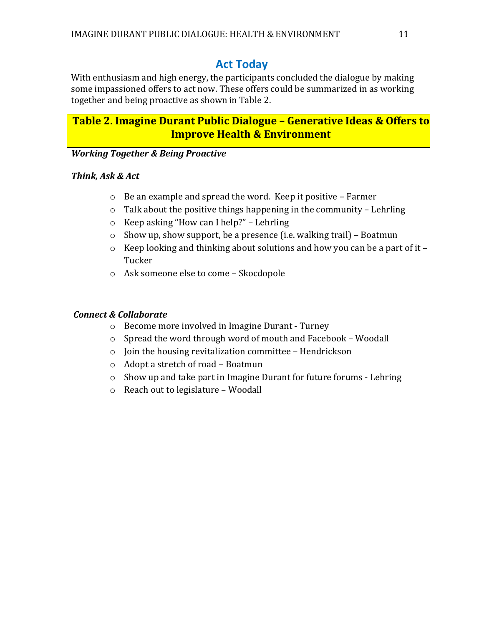# **Act Today**

With enthusiasm and high energy, the participants concluded the dialogue by making some impassioned offers to act now. These offers could be summarized in as working together and being proactive as shown in Table 2.

# **Table 2. Imagine Durant Public Dialogue – Generative Ideas & Offers to Improve Health & Environment**

*Working Together & Being Proactive*

#### *Think, Ask & Act*

- o Be an example and spread the word. Keep it positive Farmer
- $\circ$  Talk about the positive things happening in the community Lehrling
- o Keep asking "How can I help?" Lehrling
- o Show up, show support, be a presence (i.e. walking trail) Boatmun
- o Keep looking and thinking about solutions and how you can be a part of it Tucker
- o Ask someone else to come Skocdopole

#### *Connect & Collaborate*

- o Become more involved in Imagine Durant Turney
- o Spread the word through word of mouth and Facebook Woodall
- o Join the housing revitalization committee Hendrickson
- o Adopt a stretch of road Boatmun
- o Show up and take part in Imagine Durant for future forums Lehring
- o Reach out to legislature Woodall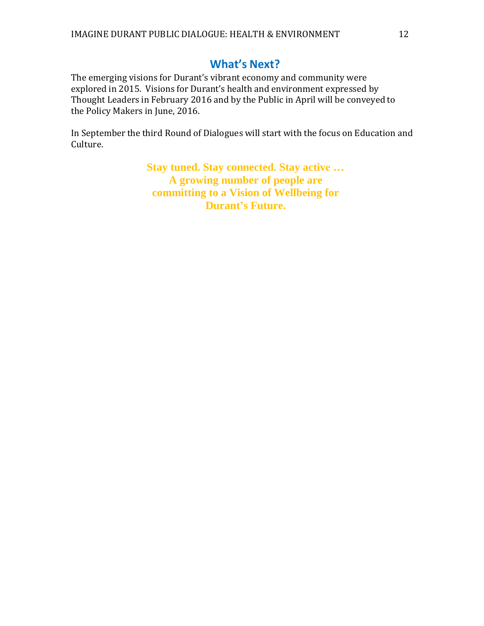# **What's Next?**

The emerging visions for Durant's vibrant economy and community were explored in 2015. Visions for Durant's health and environment expressed by Thought Leaders in February 2016 and by the Public in April will be conveyed to the Policy Makers in June, 2016.

In September the third Round of Dialogues will start with the focus on Education and Culture.

> **Stay tuned. Stay connected. Stay active … A growing number of people are committing to a Vision of Wellbeing for Durant's Future.**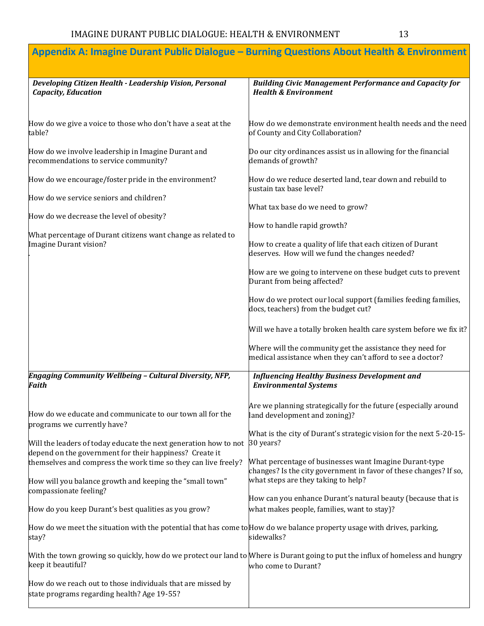|                                                                                                                                                                               | Appendix A: Imagine Durant Public Dialogue - Burning Questions About Health & Environment                                                    |
|-------------------------------------------------------------------------------------------------------------------------------------------------------------------------------|----------------------------------------------------------------------------------------------------------------------------------------------|
| Developing Citizen Health - Leadership Vision, Personal<br><b>Capacity, Education</b>                                                                                         | <b>Building Civic Management Performance and Capacity for</b><br><b>Health &amp; Environment</b>                                             |
| How do we give a voice to those who don't have a seat at the<br>table?                                                                                                        | How do we demonstrate environment health needs and the need<br>of County and City Collaboration?                                             |
| How do we involve leadership in Imagine Durant and<br>recommendations to service community?                                                                                   | Do our city ordinances assist us in allowing for the financial<br>demands of growth?                                                         |
| How do we encourage/foster pride in the environment?                                                                                                                          | How do we reduce deserted land, tear down and rebuild to<br>sustain tax base level?                                                          |
| How do we service seniors and children?<br>How do we decrease the level of obesity?<br>What percentage of Durant citizens want change as related to<br>Imagine Durant vision? | What tax base do we need to grow?                                                                                                            |
|                                                                                                                                                                               | How to handle rapid growth?<br>How to create a quality of life that each citizen of Durant<br>deserves. How will we fund the changes needed? |
|                                                                                                                                                                               | How are we going to intervene on these budget cuts to prevent<br>Durant from being affected?                                                 |
|                                                                                                                                                                               | How do we protect our local support (families feeding families,<br>docs, teachers) from the budget cut?                                      |
|                                                                                                                                                                               | Will we have a totally broken health care system before we fix it?                                                                           |
|                                                                                                                                                                               | Where will the community get the assistance they need for<br>medical assistance when they can't afford to see a doctor?                      |
| Engaging Community Wellbeing - Cultural Diversity, NFP,<br><b>Faith</b>                                                                                                       | <b>Influencing Healthy Business Development and</b><br><b>Environmental Systems</b>                                                          |
| How do we educate and communicate to our town all for the<br>programs we currently have?                                                                                      | Are we planning strategically for the future (especially around<br>land development and zoning)?                                             |
| Will the leaders of today educate the next generation how to not<br>depend on the government for their happiness? Create it                                                   | What is the city of Durant's strategic vision for the next 5-20-15-<br>30 years?                                                             |
| themselves and compress the work time so they can live freely?                                                                                                                | What percentage of businesses want Imagine Durant-type<br>changes? Is the city government in favor of these changes? If so,                  |
| How will you balance growth and keeping the "small town"<br>compassionate feeling?                                                                                            | what steps are they taking to help?<br>How can you enhance Durant's natural beauty (because that is                                          |
| How do you keep Durant's best qualities as you grow?                                                                                                                          | what makes people, families, want to stay)?                                                                                                  |
| How do we meet the situation with the potential that has come to How do we balance property usage with drives, parking,<br>stay?                                              | sidewalks?                                                                                                                                   |
| With the town growing so quickly, how do we protect our land to Where is Durant going to put the influx of homeless and hungry<br>keep it beautiful?                          | who come to Durant?                                                                                                                          |
| How do we reach out to those individuals that are missed by<br>state programs regarding health? Age 19-55?                                                                    |                                                                                                                                              |